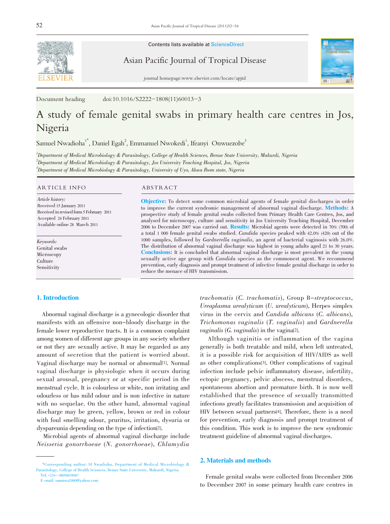

Contents lists available at ScienceDirect

Asian Pacific Journal of Tropical Disease



journal homepage:www.elsevier.com/locate/apjtd

Document heading doi:10.1016/S2222-1808(11)60013-3

# A study of female genital swabs in primary health care centres in Jos, Nigeria

Samuel Nwadioha<sup>1\*</sup>, Daniel Egah<sup>2</sup>, Emmanuel Nwokedi<sup>1</sup>, Ifeanyi Onwuezobe<sup>3</sup>

1 Department of Medical Microbiology & Parasitology, College of Health Sciences, Benue State University, Makurdi, Nigeria  $^2$ Department of Medical Microbiology & Parasitology, Jos University Teaching Hospital, Jos, Nigeria  $^3$ Department of Medical Microbiology & Parasitology, University of Uyo, Akwa Ibom state, Nigeria

#### ARTICLE INFO ABSTRACT

Article history: Received 15 January 2011 Received in revised form 5 February 2011 Accepted 24 February 2011 Available online 28 March 2011

Keywords: Genital swabs Microscopy **Culture** Sensitivity

Objective: To detect some common microbial agents of female genital discharges in order to improve the current syndromic management of abnormal vaginal discharge. Methods: A prospective study of female genital swabs collected from Primary Health Care Centres, Jos, and analysed for microscopy, culture and sensitivity in Jos University Teaching Hospital, December <sup>2006</sup> to December <sup>2007</sup> was carried out. Results: Microbial agents were detected in 70% (700) of a total <sup>1</sup> <sup>000</sup> female genital swabs studied. Candida species peaked with 42.0% (420) out of the <sup>1000</sup> samples, followed by Gardnerella vaginalis, an agent of bacterial vaginosis with 26.0%. The distribution of abnormal vaginal discharge was highest in young adults aged 21 to 30 years. Conclusions: It is concluded that abnormal vaginal discharge is most prevalent in the young sexually active age group with Candida species as the commonest agent. We recommend prevention, early diagnosis and prompt treatment of infective female genital discharge in order to reduce the menace of HIV transmission.

### 1. Introduction

Abnormal vaginal discharge is a gynecologic disorder that manifests with an offensive non-bloody discharge in the female lower reproductive tracts. It is a common complaint among women of different age groups in any society whether or not they are sexually active. It may be regarded as any amount of secretion that the patient is worried about. Vaginal discharge may be normal or abnormal[1]. Normal vaginal discharge is physiologic when it occurs during sexual arousal, pregnancy or at specific period in the menstrual cycle. It is colourless or white, non irritating and odourless or has mild odour and is non infective in nature with no sequelae. On the other hand, abnormal vaginal discharge may be green, yellow, brown or red in colour with foul smelling odour, pruritus, irritation, dysuria or dyspareunia depending on the type of infection[2].

Microbial agents of abnormal vaginal discharge include Neisseria gonorrhoeae (N. gonorrhoeae), Chlamydia

trachomatis (C. trachomatis), Group B-streptococcus, Ureaplasma urealyticum (U. urealyticum), Herpes simplex virus in the cervix and Candida albicans (C. albicans), Trichomonas vaginalis (T. vaginalis) and Gardnerella *vaginalis* (*G. vaginalis*) in the vagina<sup>[2]</sup>.

Although vaginitis or inflammation of the vagina generally is both treatable and mild, when left untreated, it is a possible risk for acquisition of HIV/AIDS as well as other complications[3]. Other complications of vaginal infection include pelvic inflammatory disease, infertility, ectopic pregnancy, pelvic abscess, menstrual disorders, spontaneous abortion and premature birth. It is now well established that the presence of sexually transmitted infections greatly facilitates transmission and acquisition of HIV between sexual partners[4]. Therefore, there is a need for prevention, early diagnosis and prompt treatment of this condition. This work is to improve the new syndromic treatment guideline of abnormal vaginal discharges.

### 2. Materials and methods

Female genital swabs were collected from December 2006 to December 2007 in some primary health care centres in

<sup>\*</sup>Corresponding author: SI Nwadioha, Department of Medical Microbiology & Parasitology, College of Health Sciences, Benue State University, Makurdi, Nigeria. Tel: +234- 08056838967

E-mail: samnwa2000@yahoo.com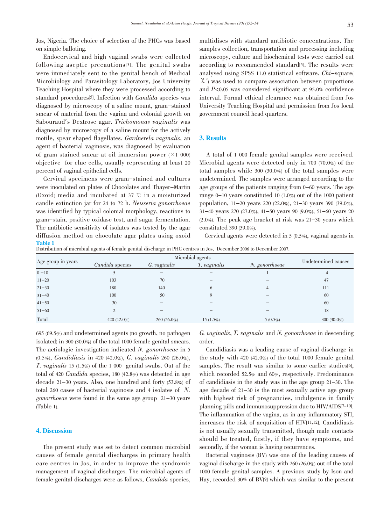Jos, Nigeria. The choice of selection of the PHCs was based on simple balloting.

Endocervical and high vaginal swabs were collected following aseptic precautions[5]. The genital swabs were immediately sent to the genital bench of Medical Microbiology and Parasitology Laboratory, Jos University Teaching Hospital where they were processed according to standard procedures[5]. Infection with Candida species was diagnosed by microscopy of a saline mount, gram-stained smear of material from the vagina and colonial growth on Sabouraud's Dextrose agar. Trichomonas vaginalis was diagnosed by microscopy of a saline mount for the actively motile, spear shaped flagellates. Gardnerela vaginalis, an agent of bacterial vaginosis, was diagnosed by evaluation of gram stained smear at oil immersion power  $(X1 000)$ objective for clue cells, usually representing at least 20 percent of vaginal epithelial cells.

Cervical specimens were gram-stained and cultures were inoculated on plates of Chocolates and Thayer-Martin (Oxoid) media and incubated at 37  $\degree$  in a moisturized candle extinction jar for <sup>24</sup> to <sup>72</sup> h. Neisseria gonorrhoeae was identified by typical colonial morphology, reactions to gram-stain, positive oxidase test, and sugar fermentation. The antibiotic sensitivity of isolates was tested by the agar diffusion method on chocolate agar plates using oxoid Table 1

multidiscs with standard antibiotic concentrations. The samples collection, transportation and processing including microscopy, culture and biochemical tests were carried out according to recommended standard[5]. The results were analysed using SPSS 11.0 statistical software. Chi-square(  $\chi^2$  was used to compare association between proportions and P<0.05 was considered significant at 95.0% confidence interval. Formal ethical clearance was obtained from Jos University Teaching Hospital and permission from Jos local government council head quarters.

#### 3. Results

A total of 1 000 female genital samples were received. Microbial agents were detected only in 700 (70.0%) of the total samples while 300 (30.0%) of the total samples were undetermined. The samples were arranged according to the age groups of the patients ranging from 0-60 years. The age range 0-10 years constituted 10 (1.0%) out of the 1000 patient population, 11-20 years 220 (22.0%), 21-30 years 390 (39.0%), 31-40 years 270 (27.0%), 41-50 years 90 (9.0%), 51-60 years 20 (2.0%). The peak age bracket at risk was 21-30 years which constituted 390 (39.0%).

Cervical agents were detected in 5 (0.5%), vaginal agents in

Distribution of microbial agents of female genital discharge in PHC centres in Jos, December 2006 to December 2007.

| Age group in years | Microbial agents |               |                     |                |                     |
|--------------------|------------------|---------------|---------------------|----------------|---------------------|
|                    | Candida species  | G. vaginalis  | <i>T. vaginalis</i> | N. gonorrhoeae | Undetermined causes |
| $0 - 10$           |                  |               |                     |                | $\overline{4}$      |
| $11 - 20$          | 103              | 70            |                     |                | 47                  |
| $21 - 30$          | 180              | 140           | 6                   | 4              | 111                 |
| $31 - 40$          | 100              | 50            |                     |                | 60                  |
| $41 - 50$          | 30               |               |                     |                | 60                  |
| $51 - 60$          | $\overline{c}$   |               |                     |                | 18                  |
| Total              | 420 $(42.0\%)$   | $260(26.0\%)$ | $15(1.5\%)$         | $5(0.5\%)$     | 300 (30.0%)         |

695 (69.5%) and undetermined agents (no growth, no pathogen isolated) in 300 (30.0%) of the total 1000 female genital smears. The aetiologic investigation indicated N. gonorrhoeae in <sup>5</sup> (0.5%), Candidiasis in <sup>420</sup> (42.0%), G. vaginalis <sup>260</sup> (26.0%), T. vaginalis <sup>15</sup> (1.5%) of the <sup>1</sup> <sup>000</sup> genital swabs. Out of the total of <sup>420</sup> Candida species, <sup>180</sup> (42.8%) was detected in age decade 21-30 years. Also, one hundred and forty (53.8%) of total <sup>260</sup> cases of bacterial vaginosis and <sup>4</sup> isolates of N. gonorrhoeae were found in the same age group 21-30 years (Table 1).

#### 4. Discussion

The present study was set to detect common microbial causes of female genital discharges in primary health care centres in Jos, in order to improve the syndromic management of vaginal discharges. The microbial agents of female genital discharges were as follows, Candida species,

G. vaginalis, T. vaginalis and N. gonorrhoeae in descending order.

Candidiasis was a leading cause of vaginal discharge in the study with 420 (42.0%) of the total 1000 female genital samples. The result was similar to some earlier studies[6], which recorded 52.5% and 60%, respectively. Predominance of candidiasis in the study was in the age group 21-30. The age decade of 21-30 is the most sexually active age group with highest risk of pregnancies, indulgence in family planning pills and immunosuppression due to HIV/AIDS[7-10]. The inflammation of the vagina, as in any inflammatory STI, increases the risk of acquisition of HIV[11,12]. Candidiasis is not usually sexually transmitted, though male contacts should be treated, firstly, if they have symptoms, and secondly, if the woman is having recurrences.

Bacterial vaginosis (BV) was one of the leading causes of vaginal discharge in the study with 260 (26.0%) out of the total 1000 female genital samples. A previous study by Ison and Hay, recorded 30% of BV[9] which was similar to the present